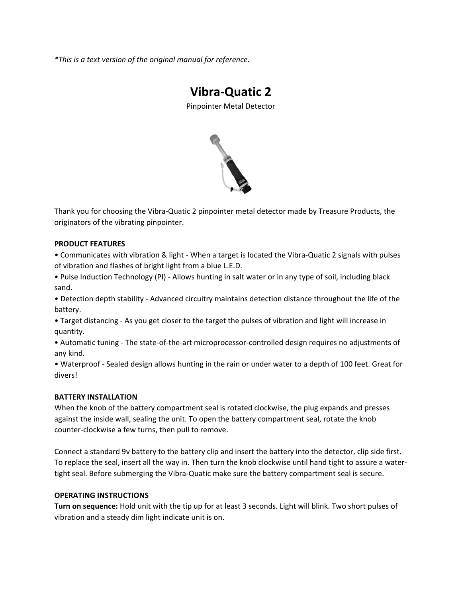*\*This is a text version of the original manual for reference.*

# **Vibra‐Quatic 2**

Pinpointer Metal Detector



Thank you for choosing the Vibra‐Quatic 2 pinpointer metal detector made by Treasure Products, the originators of the vibrating pinpointer.

### **PRODUCT FEATURES**

• Communicates with vibration & light ‐ When a target is located the Vibra‐Quatic 2 signals with pulses of vibration and flashes of bright light from a blue L.E.D.

• Pulse Induction Technology (PI) ‐ Allows hunting in salt water or in any type of soil, including black sand.

• Detection depth stability ‐ Advanced circuitry maintains detection distance throughout the life of the battery.

• Target distancing ‐ As you get closer to the target the pulses of vibration and light will increase in quantity.

• Automatic tuning ‐ The state‐of‐the‐art microprocessor‐controlled design requires no adjustments of any kind.

• Waterproof ‐ Sealed design allows hunting in the rain or under water to a depth of 100 feet. Great for divers!

# **BATTERY INSTALLATION**

When the knob of the battery compartment seal is rotated clockwise, the plug expands and presses against the inside wall, sealing the unit. To open the battery compartment seal, rotate the knob counter‐clockwise a few turns, then pull to remove.

Connect a standard 9v battery to the battery clip and insert the battery into the detector, clip side first. To replace the seal, insert all the way in. Then turn the knob clockwise until hand tight to assure a water‐ tight seal. Before submerging the Vibra‐Quatic make sure the battery compartment seal is secure.

#### **OPERATING INSTRUCTIONS**

**Turn on sequence:** Hold unit with the tip up for at least 3 seconds. Light will blink. Two short pulses of vibration and a steady dim light indicate unit is on.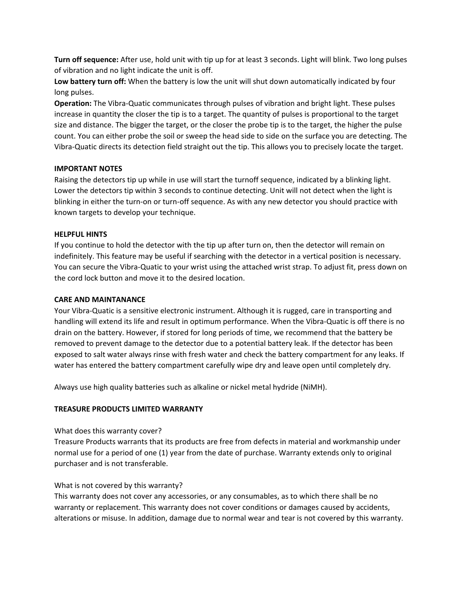**Turn off sequence:** After use, hold unit with tip up for at least 3 seconds. Light will blink. Two long pulses of vibration and no light indicate the unit is off.

**Low battery turn off:** When the battery is low the unit will shut down automatically indicated by four long pulses.

**Operation:** The Vibra‐Quatic communicates through pulses of vibration and bright light. These pulses increase in quantity the closer the tip is to a target. The quantity of pulses is proportional to the target size and distance. The bigger the target, or the closer the probe tip is to the target, the higher the pulse count. You can either probe the soil or sweep the head side to side on the surface you are detecting. The Vibra‐Quatic directs its detection field straight out the tip. This allows you to precisely locate the target.

# **IMPORTANT NOTES**

Raising the detectors tip up while in use will start the turnoff sequence, indicated by a blinking light. Lower the detectors tip within 3 seconds to continue detecting. Unit will not detect when the light is blinking in either the turn‐on or turn‐off sequence. As with any new detector you should practice with known targets to develop your technique.

### **HELPFUL HINTS**

If you continue to hold the detector with the tip up after turn on, then the detector will remain on indefinitely. This feature may be useful if searching with the detector in a vertical position is necessary. You can secure the Vibra-Quatic to your wrist using the attached wrist strap. To adjust fit, press down on the cord lock button and move it to the desired location.

## **CARE AND MAINTANANCE**

Your Vibra‐Quatic is a sensitive electronic instrument. Although it is rugged, care in transporting and handling will extend its life and result in optimum performance. When the Vibra‐Quatic is off there is no drain on the battery. However, if stored for long periods of time, we recommend that the battery be removed to prevent damage to the detector due to a potential battery leak. If the detector has been exposed to salt water always rinse with fresh water and check the battery compartment for any leaks. If water has entered the battery compartment carefully wipe dry and leave open until completely dry.

Always use high quality batteries such as alkaline or nickel metal hydride (NiMH).

# **TREASURE PRODUCTS LIMITED WARRANTY**

#### What does this warranty cover?

Treasure Products warrants that its products are free from defects in material and workmanship under normal use for a period of one (1) year from the date of purchase. Warranty extends only to original purchaser and is not transferable.

# What is not covered by this warranty?

This warranty does not cover any accessories, or any consumables, as to which there shall be no warranty or replacement. This warranty does not cover conditions or damages caused by accidents, alterations or misuse. In addition, damage due to normal wear and tear is not covered by this warranty.